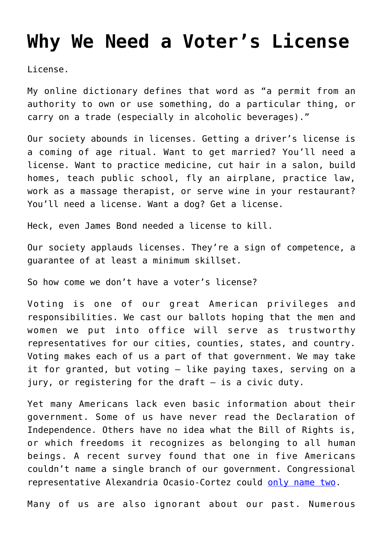## **[Why We Need a Voter's License](https://intellectualtakeout.org/2019/09/why-we-need-a-voters-license/)**

License.

My online dictionary defines that word as "a permit from an authority to own or use something, do a particular thing, or carry on a trade (especially in alcoholic beverages)."

Our society abounds in licenses. Getting a driver's license is a coming of age ritual. Want to get married? You'll need a license. Want to practice medicine, cut hair in a salon, build homes, teach public school, fly an airplane, practice law, work as a massage therapist, or serve wine in your restaurant? You'll need a license. Want a dog? Get a license.

Heck, even James Bond needed a license to kill.

Our society applauds licenses. They're a sign of competence, a guarantee of at least a minimum skillset.

So how come we don't have a voter's license?

Voting is one of our great American privileges and responsibilities. We cast our ballots hoping that the men and women we put into office will serve as trustworthy representatives for our cities, counties, states, and country. Voting makes each of us a part of that government. We may take it for granted, but voting – like paying taxes, serving on a jury, or registering for the draft – is a civic duty.

Yet many Americans lack even basic information about their government. Some of us have never read the Declaration of Independence. Others have no idea what the Bill of Rights is, or which freedoms it recognizes as belonging to all human beings. A recent survey found that one in five Americans couldn't name a single branch of our government. Congressional representative Alexandria Ocasio-Cortez could [only name two](https://www.washingtontimes.com/news/2018/nov/26/thank-alexandria-ocasio-cortez-valuable-lesson/).

Many of us are also ignorant about our past. Numerous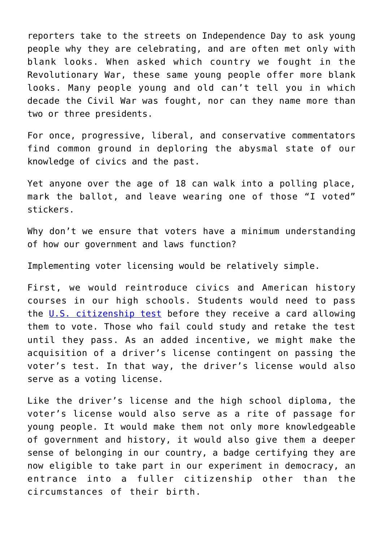reporters take to the streets on Independence Day to ask young people why they are celebrating, and are often met only with blank looks. When asked which country we fought in the Revolutionary War, these same young people offer more blank looks. Many people young and old can't tell you in which decade the Civil War was fought, nor can they name more than two or three presidents.

For once, progressive, liberal, and conservative commentators find common ground in deploring the abysmal state of our knowledge of civics and the past.

Yet anyone over the age of 18 can walk into a polling place, mark the ballot, and leave wearing one of those "I voted" stickers.

Why don't we ensure that voters have a minimum understanding of how our government and laws function?

Implementing voter licensing would be relatively simple.

First, we would reintroduce civics and American history courses in our high schools. Students would need to pass the [U.S. citizenship test](https://my.uscis.gov/en/prep/test/civics/view) before they receive a card allowing them to vote. Those who fail could study and retake the test until they pass. As an added incentive, we might make the acquisition of a driver's license contingent on passing the voter's test. In that way, the driver's license would also serve as a voting license.

Like the driver's license and the high school diploma, the voter's license would also serve as a rite of passage for young people. It would make them not only more knowledgeable of government and history, it would also give them a deeper sense of belonging in our country, a badge certifying they are now eligible to take part in our experiment in democracy, an entrance into a fuller citizenship other than the circumstances of their birth.